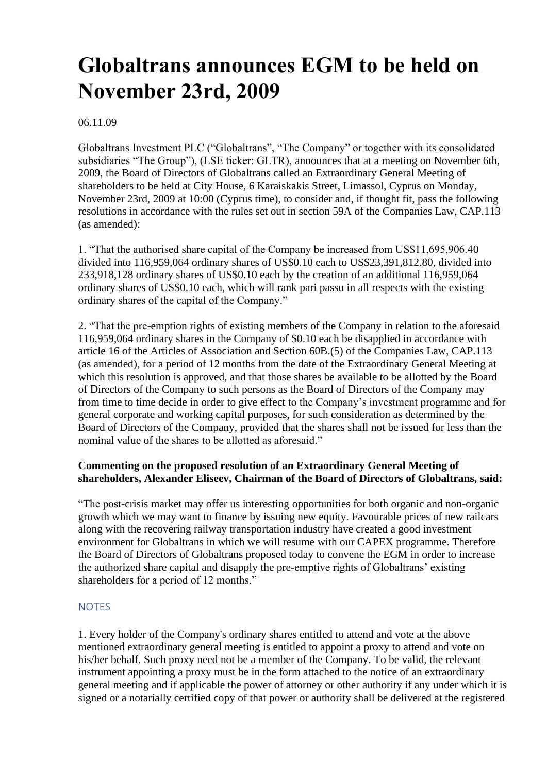# **Globaltrans announces EGM to be held on November 23rd, 2009**

06.11.09

Globaltrans Investment PLC ("Globaltrans", "The Company" or together with its consolidated subsidiaries "The Group"), (LSE ticker: GLTR), announces that at a meeting on November 6th, 2009, the Board of Directors of Globaltrans called an Extraordinary General Meeting of shareholders to be held at City House, 6 Karaiskakis Street, Limassol, Cyprus on Monday, November 23rd, 2009 at 10:00 (Cyprus time), to consider and, if thought fit, pass the following resolutions in accordance with the rules set out in section 59A of the Companies Law, CAP.113 (as amended):

1. "That the authorised share capital of the Company be increased from US\$11,695,906.40 divided into 116,959,064 ordinary shares of US\$0.10 each to US\$23,391,812.80, divided into 233,918,128 ordinary shares of US\$0.10 each by the creation of an additional 116,959,064 ordinary shares of US\$0.10 each, which will rank pari passu in all respects with the existing ordinary shares of the capital of the Company."

2. "That the pre-emption rights of existing members of the Company in relation to the aforesaid 116,959,064 ordinary shares in the Company of \$0.10 each be disapplied in accordance with article 16 of the Articles of Association and Section 60B.(5) of the Companies Law, CAP.113 (as amended), for a period of 12 months from the date of the Extraordinary General Meeting at which this resolution is approved, and that those shares be available to be allotted by the Board of Directors of the Company to such persons as the Board of Directors of the Company may from time to time decide in order to give effect to the Company's investment programme and for general corporate and working capital purposes, for such consideration as determined by the Board of Directors of the Company, provided that the shares shall not be issued for less than the nominal value of the shares to be allotted as aforesaid."

## **Commenting on the proposed resolution of an Extraordinary General Meeting of shareholders, Alexander Eliseev, Chairman of the Board of Directors of Globaltrans, said:**

"The post-crisis market may offer us interesting opportunities for both organic and non-organic growth which we may want to finance by issuing new equity. Favourable prices of new railcars along with the recovering railway transportation industry have created a good investment environment for Globaltrans in which we will resume with our CAPEX programme. Therefore the Board of Directors of Globaltrans proposed today to convene the EGM in order to increase the authorized share capital and disapply the pre-emptive rights of Globaltrans' existing shareholders for a period of 12 months."

## **NOTES**

1. Every holder of the Company's ordinary shares entitled to attend and vote at the above mentioned extraordinary general meeting is entitled to appoint a proxy to attend and vote on his/her behalf. Such proxy need not be a member of the Company. To be valid, the relevant instrument appointing a proxy must be in the form attached to the notice of an extraordinary general meeting and if applicable the power of attorney or other authority if any under which it is signed or a notarially certified copy of that power or authority shall be delivered at the registered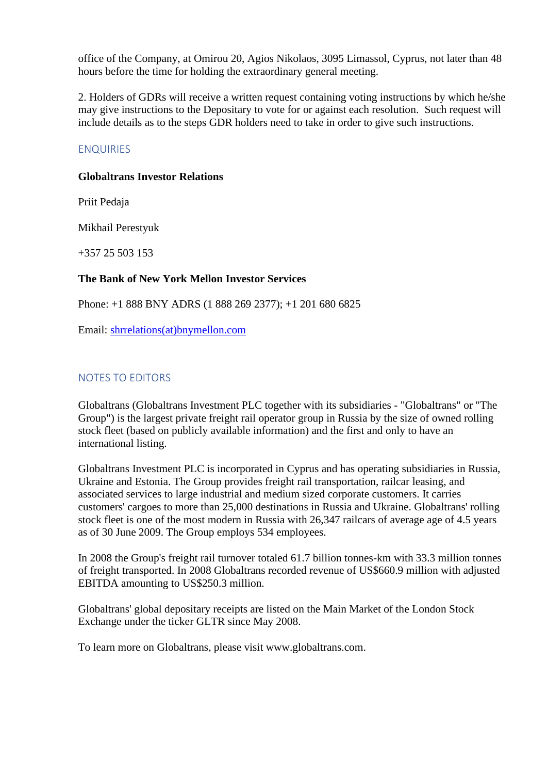office of the Company, at Omirou 20, Agios Nikolaos, 3095 Limassol, Cyprus, not later than 48 hours before the time for holding the extraordinary general meeting.

2. Holders of GDRs will receive a written request containing voting instructions by which he/she may give instructions to the Depositary to vote for or against each resolution. Such request will include details as to the steps GDR holders need to take in order to give such instructions.

## ENQUIRIES

#### **Globaltrans Investor Relations**

Priit Pedaja

Mikhail Perestyuk

+357 25 503 153

### **The Bank of New York Mellon Investor Services**

Phone: +1 888 BNY ADRS (1 888 269 2377); +1 201 680 6825

Email: [shrrelations\(at\)bnymellon.com](mailto:shrrelations@bnymellon.com)

## NOTES TO EDITORS

Globaltrans (Globaltrans Investment PLC together with its subsidiaries - "Globaltrans" or "The Group") is the largest private freight rail operator group in Russia by the size of owned rolling stock fleet (based on publicly available information) and the first and only to have an international listing.

Globaltrans Investment PLC is incorporated in Cyprus and has operating subsidiaries in Russia, Ukraine and Estonia. The Group provides freight rail transportation, railcar leasing, and associated services to large industrial and medium sized corporate customers. It carries customers' cargoes to more than 25,000 destinations in Russia and Ukraine. Globaltrans' rolling stock fleet is one of the most modern in Russia with 26,347 railcars of average age of 4.5 years as of 30 June 2009. The Group employs 534 employees.

In 2008 the Group's freight rail turnover totaled 61.7 billion tonnes-km with 33.3 million tonnes of freight transported. In 2008 Globaltrans recorded revenue of US\$660.9 million with adjusted EBITDA amounting to US\$250.3 million.

Globaltrans' global depositary receipts are listed on the Main Market of the London Stock Exchange under the ticker GLTR since May 2008.

To learn more on Globaltrans, please visit www.globaltrans.com.